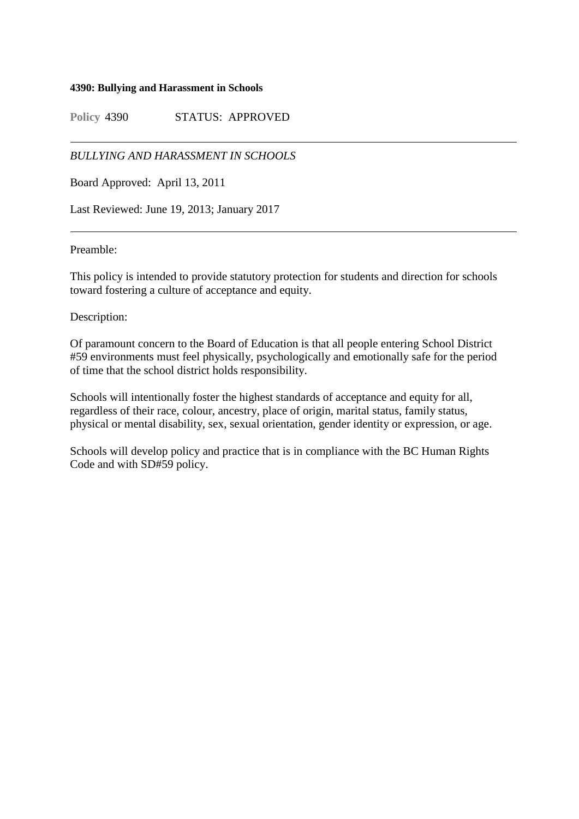#### **4390: Bullying and Harassment in Schools**

**Policy** 4390 STATUS: APPROVED

# *BULLYING AND HARASSMENT IN SCHOOLS*

Board Approved: April 13, 2011

Last Reviewed: June 19, 2013; January 2017

## Preamble:

This policy is intended to provide statutory protection for students and direction for schools toward fostering a culture of acceptance and equity.

## Description:

Of paramount concern to the Board of Education is that all people entering School District #59 environments must feel physically, psychologically and emotionally safe for the period of time that the school district holds responsibility.

Schools will intentionally foster the highest standards of acceptance and equity for all, regardless of their race, colour, ancestry, place of origin, marital status, family status, physical or mental disability, sex, sexual orientation, gender identity or expression, or age.

Schools will develop policy and practice that is in compliance with the BC Human Rights Code and with SD#59 policy.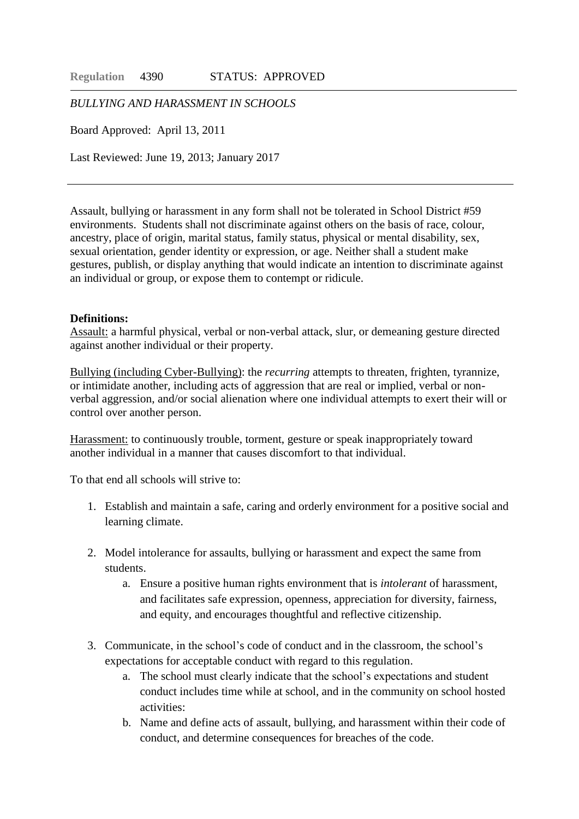*BULLYING AND HARASSMENT IN SCHOOLS*

Board Approved: April 13, 2011

Last Reviewed: June 19, 2013; January 2017

Assault, bullying or harassment in any form shall not be tolerated in School District #59 environments. Students shall not discriminate against others on the basis of race, colour, ancestry, place of origin, marital status, family status, physical or mental disability, sex, sexual orientation, gender identity or expression, or age. Neither shall a student make gestures, publish, or display anything that would indicate an intention to discriminate against an individual or group, or expose them to contempt or ridicule.

#### **Definitions:**

Assault: a harmful physical, verbal or non-verbal attack, slur, or demeaning gesture directed against another individual or their property.

Bullying (including Cyber-Bullying): the *recurring* attempts to threaten, frighten, tyrannize, or intimidate another, including acts of aggression that are real or implied, verbal or nonverbal aggression, and/or social alienation where one individual attempts to exert their will or control over another person.

Harassment: to continuously trouble, torment, gesture or speak inappropriately toward another individual in a manner that causes discomfort to that individual.

To that end all schools will strive to:

- 1. Establish and maintain a safe, caring and orderly environment for a positive social and learning climate.
- 2. Model intolerance for assaults, bullying or harassment and expect the same from students.
	- a. Ensure a positive human rights environment that is *intolerant* of harassment, and facilitates safe expression, openness, appreciation for diversity, fairness, and equity, and encourages thoughtful and reflective citizenship.
- 3. Communicate, in the school's code of conduct and in the classroom, the school's expectations for acceptable conduct with regard to this regulation.
	- a. The school must clearly indicate that the school's expectations and student conduct includes time while at school, and in the community on school hosted activities:
	- b. Name and define acts of assault, bullying, and harassment within their code of conduct, and determine consequences for breaches of the code.